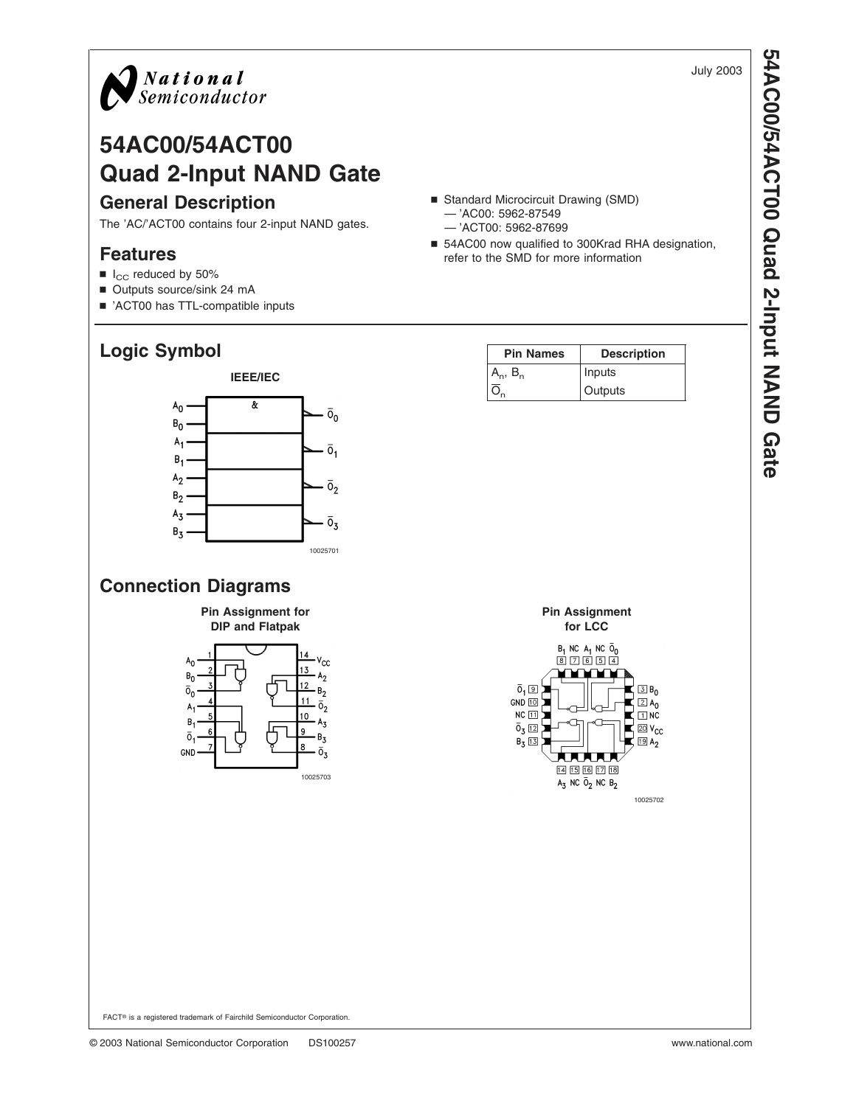

# **54AC00/54ACT00 Quad 2-Input NAND Gate General Description**

The 'AC/'ACT00 contains four 2-input NAND gates.

#### **Features**

- $\blacksquare$  I<sub>CC</sub> reduced by 50%
- Outputs source/sink 24 mA
- 'ACT00 has TTL-compatible inputs

## **Logic Symbol**



#### ■ Standard Microcircuit Drawing (SMD) — 'AC00: 5962-87549 — 'ACT00: 5962-87699

■ 54AC00 now qualified to 300Krad RHA designation, refer to the SMD for more information

| <b>Pin Names</b> | <b>Description</b> |
|------------------|--------------------|
|                  | Inputs             |
|                  | Outputs            |



July 2003

#### **Connection Diagrams**

 $A<sub>1</sub>$ 

 $B_{1}$ 

 $\overline{0}_1$ 

GND



10025703

 $A_3$ 

B,

 $\overline{0}_3$ 



FACT® is a registered trademark of Fairchild Semiconductor Corporation.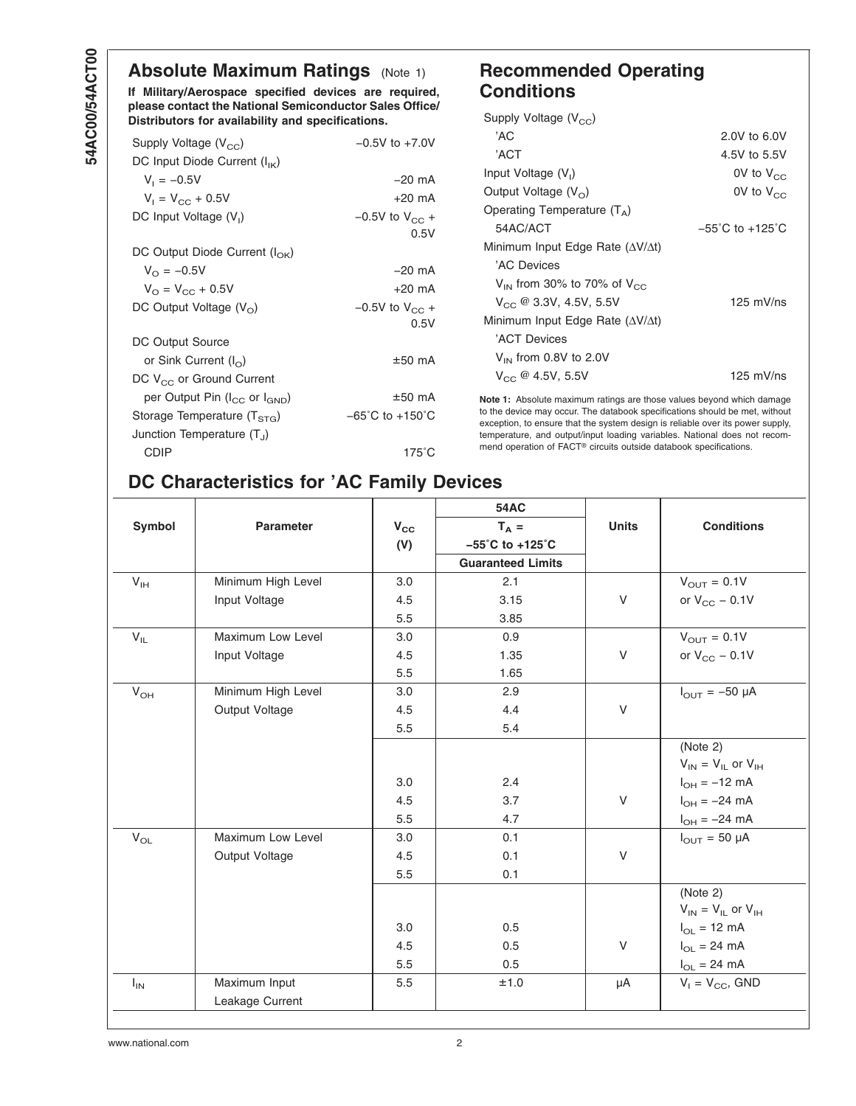### **Absolute Maximum Ratings** (Note 1)

**If Military/Aerospace specified devices are required, please contact the National Semiconductor Sales Office/ Distributors for availability and specifications.**

| Supply Voltage $(V_{CC})$                | $-0.5V$ to $+7.0V$                  |
|------------------------------------------|-------------------------------------|
| DC Input Diode Current $(I_{IK})$        |                                     |
| $V_1 = -0.5V$                            | $-20$ mA                            |
| $V_1 = V_{CC} + 0.5V$                    | $+20$ mA                            |
| DC Input Voltage $(V_1)$                 | $-0.5V$ to $V_{CC}$ +               |
|                                          | 0.5V                                |
| DC Output Diode Current $(I_{\Omega K})$ |                                     |
| $V_{\Omega} = -0.5V$                     | $-20$ mA                            |
| $V_{\Omega} = V_{\Omega C} + 0.5V$       | $+20$ mA                            |
| DC Output Voltage $(V0)$                 | $-0.5V$ to $V_{CC}$ +               |
|                                          | 0.5V                                |
| DC Output Source                         |                                     |
| or Sink Current $(I_{\Omega})$           | $±50$ mA                            |
| DC V <sub>CC</sub> or Ground Current     |                                     |
| per Output Pin $(I_{CC}$ or $I_{GND}$ )  | $±50$ mA                            |
| Storage Temperature $(TSTG)$             | $-65^{\circ}$ C to $+150^{\circ}$ C |
| Junction Temperature $(T_1)$             |                                     |
| CDIP                                     | 175°C                               |

#### **Recommended Operating Conditions**

| Supply Voltage $(V_{CC})$                          |                                     |
|----------------------------------------------------|-------------------------------------|
| 'AC                                                | 2.0V to 6.0V                        |
| 'ACT                                               | 4.5V to 5.5V                        |
| Input Voltage $(V1)$                               | 0V to $V_{CC}$                      |
| Output Voltage $(V_0)$                             | 0V to $V_{CC}$                      |
| Operating Temperature $(T_{\Delta})$               |                                     |
| 54AC/ACT                                           | $-55^{\circ}$ C to $+125^{\circ}$ C |
| Minimum Input Edge Rate $(\Delta V/\Delta t)$      |                                     |
| 'AC Devices                                        |                                     |
| $V_{\text{IN}}$ from 30% to 70% of $V_{\text{CC}}$ |                                     |
| $V_{CC}$ @ 3.3V, 4.5V, 5.5V                        | $125$ mV/ns                         |
| Minimum Input Edge Rate $(\Delta V/\Delta t)$      |                                     |
| 'ACT Devices                                       |                                     |
| $V_{IN}$ from 0.8V to 2.0V                         |                                     |
| $V_{CC}$ @ 4.5V, 5.5V                              | 125 $mV$ /ns                        |

**Note 1:** Absolute maximum ratings are those values beyond which damage to the device may occur. The databook specifications should be met, without exception, to ensure that the system design is reliable over its power supply, temperature, and output/input loading variables. National does not recommend operation of FACT® circuits outside databook specifications.

## **DC Characteristics for 'AC Family Devices**

|                            |                    |              | <b>54AC</b>                          |              |                               |
|----------------------------|--------------------|--------------|--------------------------------------|--------------|-------------------------------|
| Symbol                     | <b>Parameter</b>   | $V_{\rm CC}$ | $T_A =$                              | <b>Units</b> | <b>Conditions</b>             |
|                            |                    | (V)          | $-55^{\circ}$ C to +125 $^{\circ}$ C |              |                               |
|                            |                    |              | <b>Guaranteed Limits</b>             |              |                               |
| $V_{IH}$                   | Minimum High Level | 3.0          | 2.1                                  |              | $V_{\text{OUT}} = 0.1V$       |
|                            | Input Voltage      | 4.5          | 3.15                                 | V            | or $V_{CC}$ – 0.1V            |
|                            |                    | 5.5          | 3.85                                 |              |                               |
| $V_{IL}$                   | Maximum Low Level  | 3.0          | 0.9                                  |              | $V_{\text{OUT}} = 0.1V$       |
|                            | Input Voltage      | 4.5          | 1.35                                 | V            | or $V_{CC}$ – 0.1V            |
|                            |                    | 5.5          | 1.65                                 |              |                               |
| $V_{OH}$                   | Minimum High Level | 3.0          | 2.9                                  |              | $I_{\text{OUT}} = -50 \mu A$  |
|                            | Output Voltage     | 4.5          | 4.4                                  | V            |                               |
|                            |                    | 5.5          | 5.4                                  |              |                               |
|                            |                    |              |                                      |              | (Note 2)                      |
|                            |                    |              |                                      |              | $V_{IN} = V_{IL}$ or $V_{IH}$ |
|                            |                    | 3.0          | 2.4                                  |              | $I_{OH} = -12$ mA             |
|                            |                    | 4.5          | 3.7                                  | $\vee$       | $I_{OH} = -24$ mA             |
|                            |                    | 5.5          | 4.7                                  |              | $I_{OH} = -24 \text{ mA}$     |
| $\mathsf{V}_{\mathsf{OL}}$ | Maximum Low Level  | 3.0          | 0.1                                  |              | $I_{\text{OUT}} = 50 \mu A$   |
|                            | Output Voltage     | 4.5          | 0.1                                  | V            |                               |
|                            |                    | 5.5          | 0.1                                  |              |                               |
|                            |                    |              |                                      |              | (Note 2)                      |
|                            |                    |              |                                      |              | $V_{IN} = V_{IL}$ or $V_{IH}$ |
|                            |                    | 3.0          | 0.5                                  |              | $I_{OL}$ = 12 mA              |
|                            |                    | 4.5          | 0.5                                  | V            | $I_{OL}$ = 24 mA              |
|                            |                    | 5.5          | 0.5                                  |              | $I_{OL}$ = 24 mA              |
| $I_{IN}$                   | Maximum Input      | 5.5          | ±1.0                                 | μA           | $V_1 = V_{CC}$ , GND          |
|                            | Leakage Current    |              |                                      |              |                               |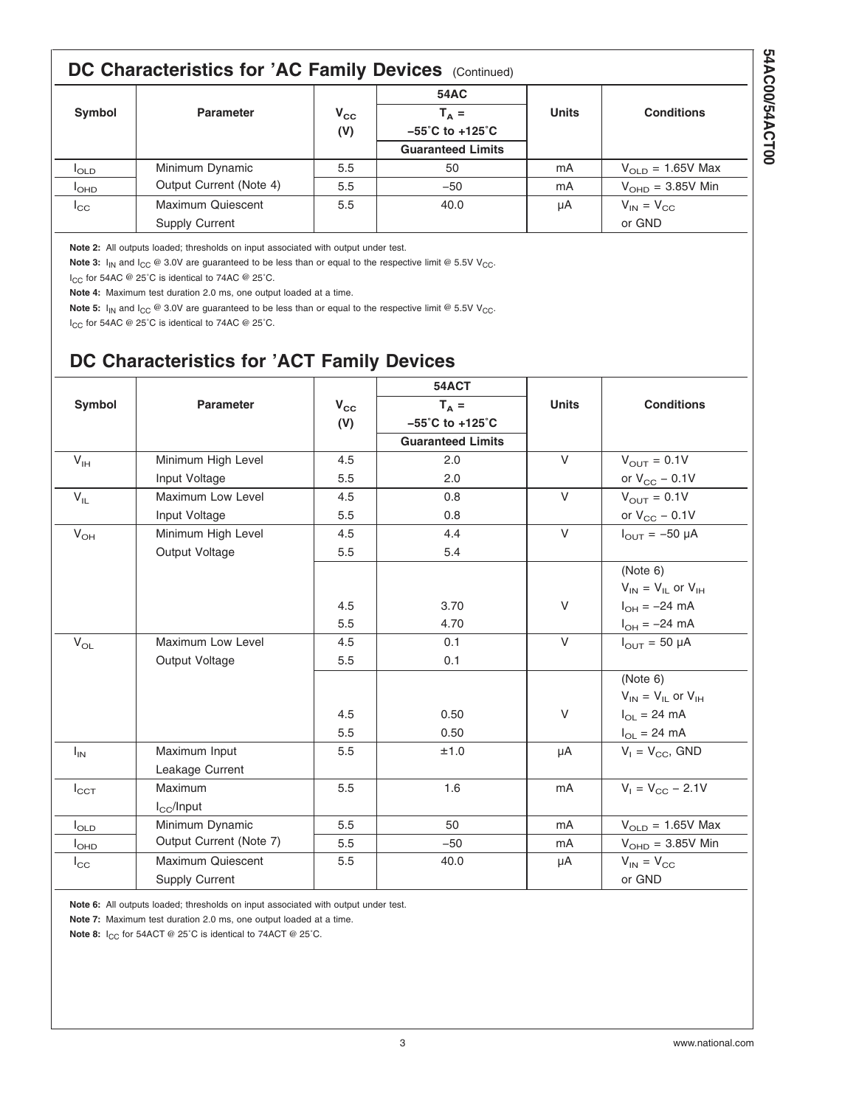#### <span id="page-2-0"></span>**DC Characteristics for 'AC Family Devices (Continued) 54AC** Symbol | Parameter | V<sub>CC</sub> | T<sub>A</sub> = | Units | Conditions **(V) −55˚C to +125˚C Guaranteed Limits** I<sub>OLD</sub> Minimum Dynamic I<sub>OHD</sub> │ Output Current (Note 4) │ 5.5 │ │ →50 │ │ mA │ V<sub>OHD</sub> = 3.85V Min 5.5  $50$  mA  $V_{\text{OLD}} = 1.65V$  Max  $I_{\text{CC}}$  | Maximum Quiescent | 5.5 | 40.0 | µA |  $V_{\text{IN}} = V_{\text{CC}}$ Supply Current **Calculation** and Calculation **CALCULATE CALCULATE ACCESS** or GND

**Note 2:** All outputs loaded; thresholds on input associated with output under test.

**Note 3:**  $I_{IN}$  and  $I_{CC}$  @ 3.0V are guaranteed to be less than or equal to the respective limit @ 5.5V V<sub>CC</sub>.

I<sub>CC</sub> for 54AC @ 25°C is identical to 74AC @ 25°C.

**Note 4:** Maximum test duration 2.0 ms, one output loaded at a time.

**Note 5:**  $I_{IN}$  and  $I_{CC}$  @ 3.0V are guaranteed to be less than or equal to the respective limit @ 5.5V V<sub>CC</sub>.

I<sub>CC</sub> for 54AC @ 25°C is identical to 74AC @ 25°C.

#### **DC Characteristics for 'ACT Family Devices**

|               |                         |              | 54ACT                                |              |                               |
|---------------|-------------------------|--------------|--------------------------------------|--------------|-------------------------------|
| Symbol        | <b>Parameter</b>        | $V_{\rm CC}$ | $T_A =$                              | <b>Units</b> | <b>Conditions</b>             |
|               |                         | (V)          | $-55^{\circ}$ C to +125 $^{\circ}$ C |              |                               |
|               |                         |              | <b>Guaranteed Limits</b>             |              |                               |
| $V_{IH}$      | Minimum High Level      | 4.5          | 2.0                                  | $\vee$       | $V_{\text{OUT}} = 0.1V$       |
|               | Input Voltage           | 5.5          | 2.0                                  |              | or $V_{CC}$ – 0.1V            |
| $V_{IL}$      | Maximum Low Level       | 4.5          | 0.8                                  | $\vee$       | $V_{\text{OUT}} = 0.1V$       |
|               | Input Voltage           | 5.5          | 0.8                                  |              | or $V_{CC}$ – 0.1V            |
| $V_{OH}$      | Minimum High Level      | 4.5          | 4.4                                  | $\vee$       | $I_{\text{OUT}} = -50 \mu A$  |
|               | Output Voltage          | 5.5          | 5.4                                  |              |                               |
|               |                         |              |                                      |              | (Note 6)                      |
|               |                         |              |                                      |              | $V_{IN} = V_{IL}$ or $V_{IH}$ |
|               |                         | 4.5          | 3.70                                 | V            | $I_{OH} = -24 \text{ mA}$     |
|               |                         | 5.5          | 4.70                                 |              | $I_{OH} = -24 \text{ mA}$     |
| $V_{OL}$      | Maximum Low Level       | 4.5          | 0.1                                  | $\vee$       | $I_{\text{OUT}} = 50 \mu A$   |
|               | Output Voltage          | 5.5          | 0.1                                  |              |                               |
|               |                         |              |                                      |              | (Note 6)                      |
|               |                         |              |                                      |              | $V_{IN} = V_{IL}$ or $V_{IH}$ |
|               |                         | 4.5          | 0.50                                 | V            | $I_{OL}$ = 24 mA              |
|               |                         | 5.5          | 0.50                                 |              | $I_{OL}$ = 24 mA              |
| $I_{IN}$      | Maximum Input           | 5.5          | ±1.0                                 | μA           | $V_1 = V_{CC}$ , GND          |
|               | Leakage Current         |              |                                      |              |                               |
| $I_{\rm CCT}$ | Maximum                 | 5.5          | 1.6                                  | mA           | $V_1 = V_{CC} - 2.1V$         |
|               | $I_{\rm CC}/$ Input     |              |                                      |              |                               |
| $I_{OLD}$     | Minimum Dynamic         | 5.5          | 50                                   | mA           | $V_{OLD} = 1.65V$ Max         |
| $I_{OHD}$     | Output Current (Note 7) | 5.5          | $-50$                                | mA           | $VOHD = 3.85V$ Min            |
| $I_{\rm CC}$  | Maximum Quiescent       | 5.5          | 40.0                                 | μA           | $V_{IN} = V_{CC}$             |
|               | <b>Supply Current</b>   |              |                                      |              | or GND                        |

**Note 6:** All outputs loaded; thresholds on input associated with output under test.

**Note 7:** Maximum test duration 2.0 ms, one output loaded at a time.

**Note 8:** I<sub>CC</sub> for 54ACT @ 25°C is identical to 74ACT @ 25°C.

**54AC00/54ACT00**

54AC00/54ACT00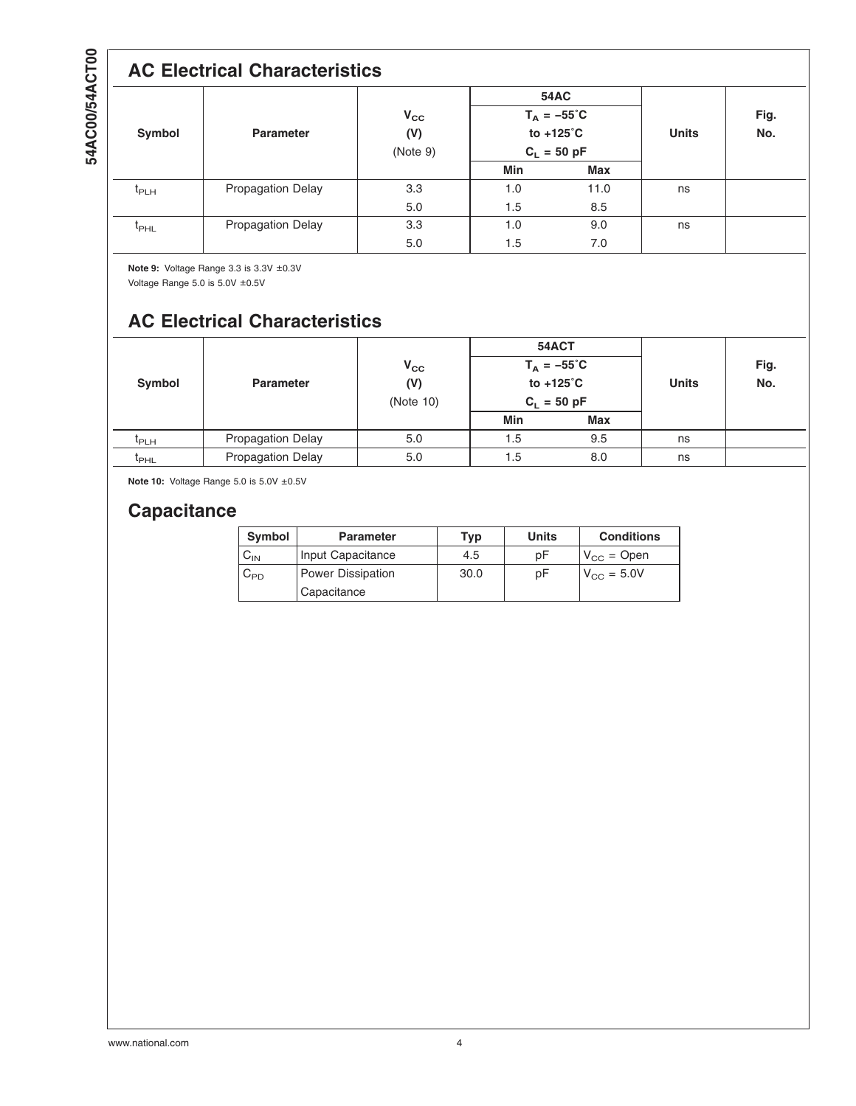## **AC Electrical Characteristics**

| Symbol        | <b>Parameter</b>         | $V_{\rm CC}$<br>(V)<br>(Note 9) | <b>54AC</b><br>$T_A = -55^{\circ}C$<br>to +125°C<br>$C_L = 50$ pF |      | <b>Units</b> | Fig.<br>No. |
|---------------|--------------------------|---------------------------------|-------------------------------------------------------------------|------|--------------|-------------|
|               |                          |                                 | Min                                                               | Max  |              |             |
| $t_{PLH}$     | <b>Propagation Delay</b> | 3.3                             | 1.0                                                               | 11.0 | ns           |             |
|               |                          | 5.0                             | 1.5                                                               | 8.5  |              |             |
| $t_{\sf PHL}$ | <b>Propagation Delay</b> | 3.3                             | 1.0                                                               | 9.0  | ns           |             |
|               |                          | 5.0                             | 1.5                                                               | 7.0  |              |             |

**Note 9:** Voltage Range 3.3 is 3.3V ±0.3V

Voltage Range 5.0 is 5.0V ±0.5V

## **AC Electrical Characteristics**

|                  |                          |                                  | 54ACT<br>$T_A = -55^{\circ}C$<br>to $+125^{\circ}$ C<br>$C_L = 50$ pF |            | <b>Units</b> | Fig.<br>No. |
|------------------|--------------------------|----------------------------------|-----------------------------------------------------------------------|------------|--------------|-------------|
| Symbol           | <b>Parameter</b>         | $V_{\rm CC}$<br>(V)<br>(Note 10) |                                                                       |            |              |             |
|                  |                          |                                  | Min                                                                   | <b>Max</b> |              |             |
| <b>I</b> PLH     | <b>Propagation Delay</b> | 5.0                              | 1.5                                                                   | 9.5        | ns           |             |
| <sup>L</sup> PHL | <b>Propagation Delay</b> | 5.0                              | 1.5                                                                   | 8.0        | ns           |             |

**Note 10:** Voltage Range 5.0 is 5.0V ±0.5V

### **Capacitance**

| <b>Symbol</b> | <b>Parameter</b>                 | Typ  | <b>Units</b> | <b>Conditions</b>      |
|---------------|----------------------------------|------|--------------|------------------------|
| או∨           | Input Capacitance                | 4.5  | pΕ           | $V_{\text{CC}}$ = Open |
| ∪PD           | Power Dissipation<br>Capacitance | 30.0 | рF           | $V_{\text{CC}} = 5.0V$ |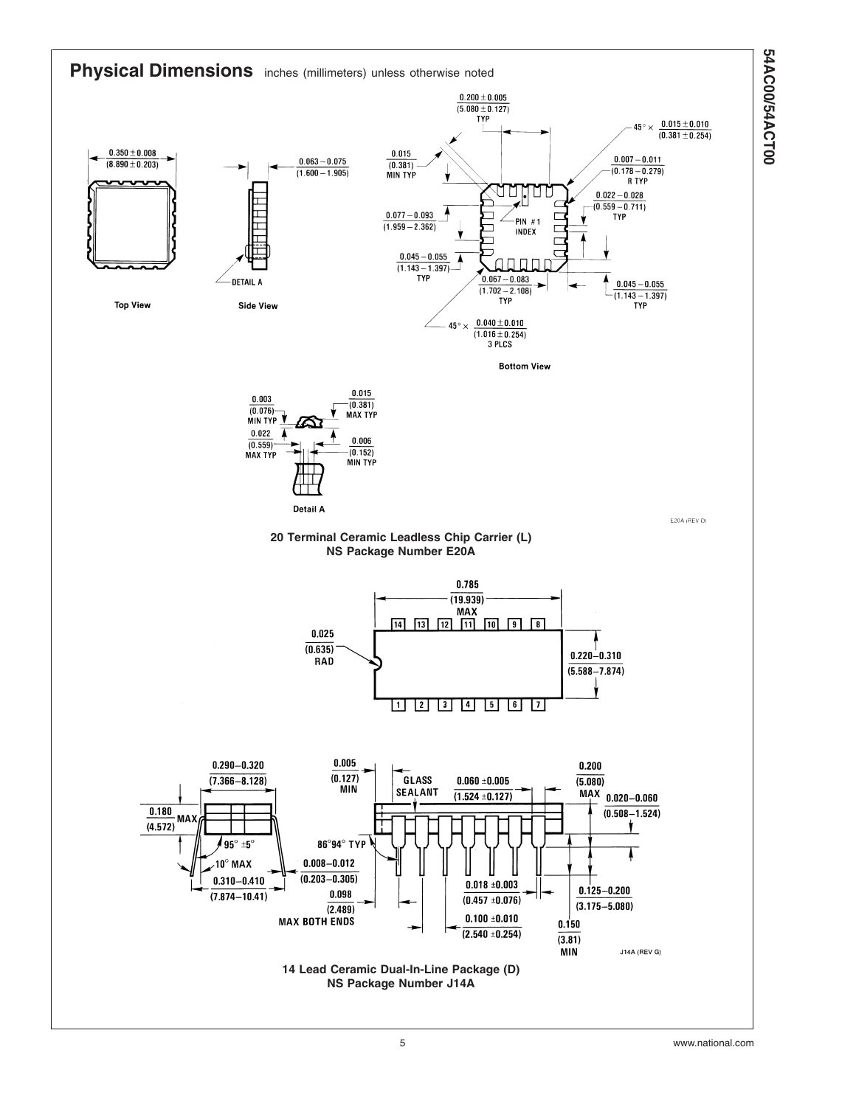